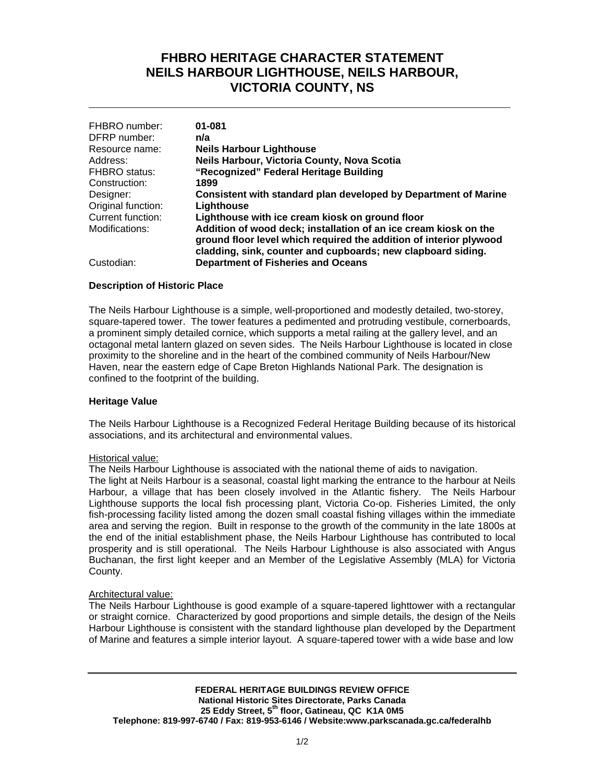# **FHBRO HERITAGE CHARACTER STATEMENT NEILS HARBOUR LIGHTHOUSE, NEILS HARBOUR, VICTORIA COUNTY, NS**

**\_\_\_\_\_\_\_\_\_\_\_\_\_\_\_\_\_\_\_\_\_\_\_\_\_\_\_\_\_\_\_\_\_\_\_\_\_\_\_\_\_\_\_\_\_\_\_\_\_\_\_\_\_\_\_\_\_\_\_**

| FHBRO number:      | 01-081                                                                                                                                                                                                 |
|--------------------|--------------------------------------------------------------------------------------------------------------------------------------------------------------------------------------------------------|
| DFRP number:       | n/a                                                                                                                                                                                                    |
| Resource name:     | <b>Neils Harbour Lighthouse</b>                                                                                                                                                                        |
| Address:           | Neils Harbour, Victoria County, Nova Scotia                                                                                                                                                            |
| FHBRO status:      | "Recognized" Federal Heritage Building                                                                                                                                                                 |
| Construction:      | 1899                                                                                                                                                                                                   |
| Designer:          | Consistent with standard plan developed by Department of Marine                                                                                                                                        |
| Original function: | Lighthouse                                                                                                                                                                                             |
| Current function:  | Lighthouse with ice cream kiosk on ground floor                                                                                                                                                        |
| Modifications:     | Addition of wood deck; installation of an ice cream kiosk on the<br>ground floor level which required the addition of interior plywood<br>cladding, sink, counter and cupboards; new clapboard siding. |
| Custodian:         | <b>Department of Fisheries and Oceans</b>                                                                                                                                                              |

### **Description of Historic Place**

The Neils Harbour Lighthouse is a simple, well-proportioned and modestly detailed, two-storey, square-tapered tower. The tower features a pedimented and protruding vestibule, cornerboards, a prominent simply detailed cornice, which supports a metal railing at the gallery level, and an octagonal metal lantern glazed on seven sides. The Neils Harbour Lighthouse is located in close proximity to the shoreline and in the heart of the combined community of Neils Harbour/New Haven, near the eastern edge of Cape Breton Highlands National Park. The designation is confined to the footprint of the building.

#### **Heritage Value**

The Neils Harbour Lighthouse is a Recognized Federal Heritage Building because of its historical associations, and its architectural and environmental values.

#### Historical value:

The Neils Harbour Lighthouse is associated with the national theme of aids to navigation.

The light at Neils Harbour is a seasonal, coastal light marking the entrance to the harbour at Neils Harbour, a village that has been closely involved in the Atlantic fishery. The Neils Harbour Lighthouse supports the local fish processing plant, Victoria Co-op. Fisheries Limited, the only fish-processing facility listed among the dozen small coastal fishing villages within the immediate area and serving the region. Built in response to the growth of the community in the late 1800s at the end of the initial establishment phase, the Neils Harbour Lighthouse has contributed to local prosperity and is still operational. The Neils Harbour Lighthouse is also associated with Angus Buchanan, the first light keeper and an Member of the Legislative Assembly (MLA) for Victoria County.

#### Architectural value:

The Neils Harbour Lighthouse is good example of a square-tapered lighttower with a rectangular or straight cornice. Characterized by good proportions and simple details, the design of the Neils Harbour Lighthouse is consistent with the standard lighthouse plan developed by the Department of Marine and features a simple interior layout. A square-tapered tower with a wide base and low